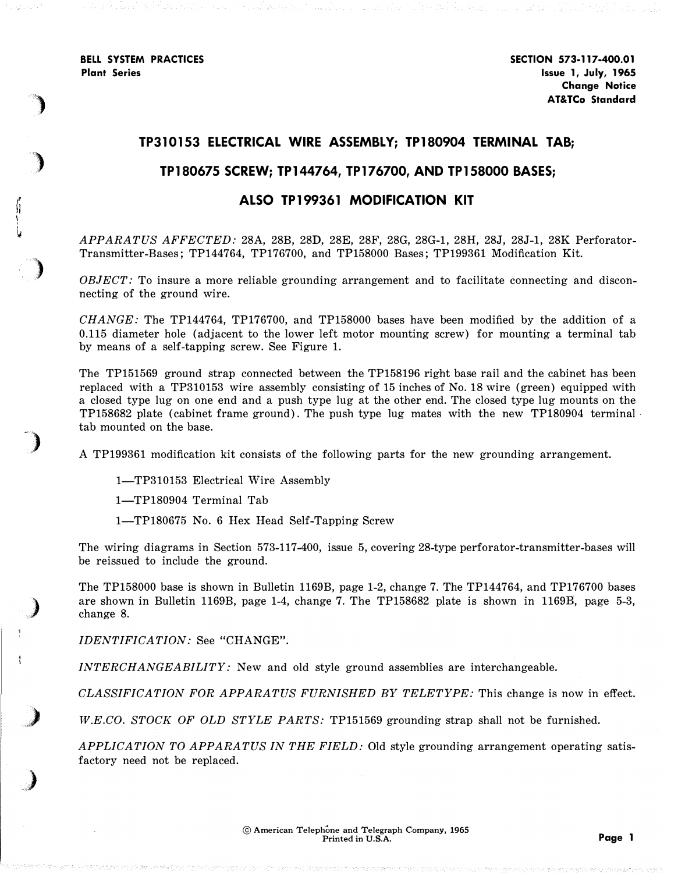BELL SYSTEM PRACTICES Plant Series

 $\int_{1}^{r}$ 

)

)

)

)

**)** 

**)** 

:<br>پا

## TP310153 ELECTRICAL WIRE ASSEMBLY; TP180904 TERMINAL TAB;

## TP180675 SCREW; TP144764, TP176700, AND TP158000 BASES;

## ALSO TP199361 MODIFICATION KIT

APPARATUS AFFECTED: 28A, 28B, 28D, 28E, 28F, 28G, 28G-1, 28H, 28J, 28J-1, 28K Perforator-Transmitter-Bases; TP144764, TP176700, and TP158000 Bases; TP199361 Modification Kit.

OBJECT: To insure a more reliable grounding arrangement and to facilitate connecting and disconnecting of the ground wire.

CHANGE: The TP144764, TP176700, and TP158000 bases have been modified by the addition of a 0.115 diameter hole (adjacent to the lower left motor mounting screw) for mounting a terminal tab by means of a self-tapping screw. See Figure 1.

The TP151569 ground strap connected between the TP158196 right base rail and the cabinet has been replaced with a TP310153 wire assembly consisting of 15 inches of No. 18 wire (green) equipped with a closed type lug on one end and a push type lug at the other end. The closed type lug mounts on the TP158682 plate (cabinet frame ground). The push type lug mates with the new TP180904 terminal tab mounted on the base.

A TP199361 modification kit consists of the following parts for the new grounding arrangement.

1-TP310153 Electrical Wire Assembly

1-TP180904 Terminal Tab

1-TP180675 No. 6 Hex Head Self-Tapping Screw

The wiring diagrams in Section 573-117-400, issue 5, covering 28-type perforator-transmitter-bases will be reissued to include the ground.

The TP158000 base is shown in Bulletin 1169B, page 1-2, change 7. The TP144764, and TP176700 bases are shown in Bulletin 1169B, page 1-4, change 7. The TP158682 plate is shown in 1169B, page 5-3, change 8.

IDENTIFICATION: See "CHANGE".

INTERCHANGEABILITY: New and old style ground assemblies are interchangeable.

CLASSIFICATION FOR APPARATUS FURNISHED BY TELETYPE: This change is now in effect.

W.E.CO. STOCK OF OLD STYLE PARTS: TP151569 grounding strap shall not be furnished.

APPLICATION TO APPARATUS IN THE FIELD: Old style grounding arrangement operating satisfactory need not be replaced.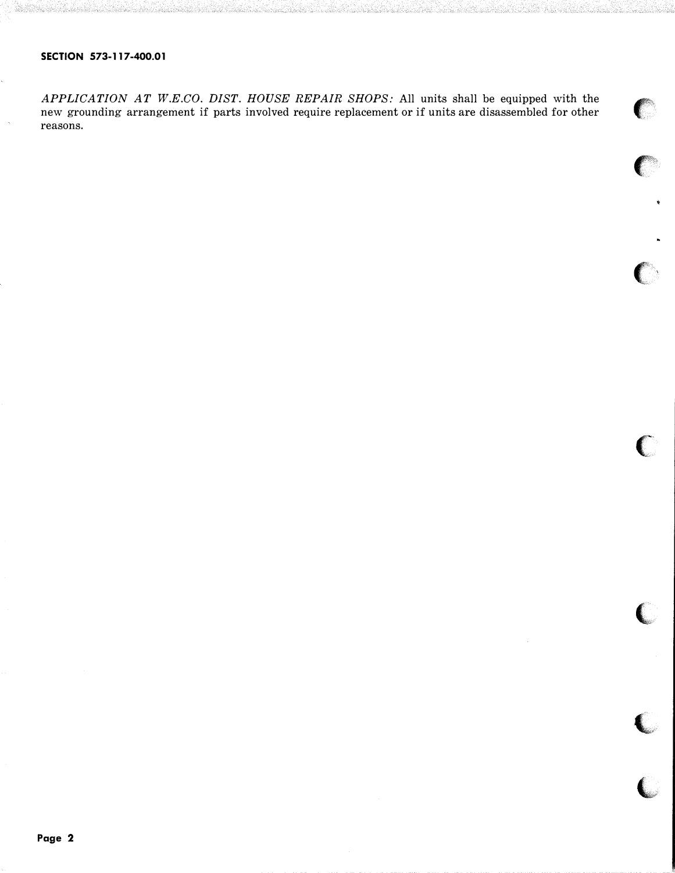## SECTION 573-117-400.01

APPLICATION AT W.E.CO. DIST. HOUSE REPAIR SHOPS: All units shall be equipped with the new grounding arrangement if parts involved require replacement or if units are disassembled for other new grounding arrangement if parts involved require replacement or if units are disassembled for other reasons.

 $\bigcap$ 

 $\epsilon$ 

,

 $\blacksquare$ 

 $\overline{\mathbb{C}}$